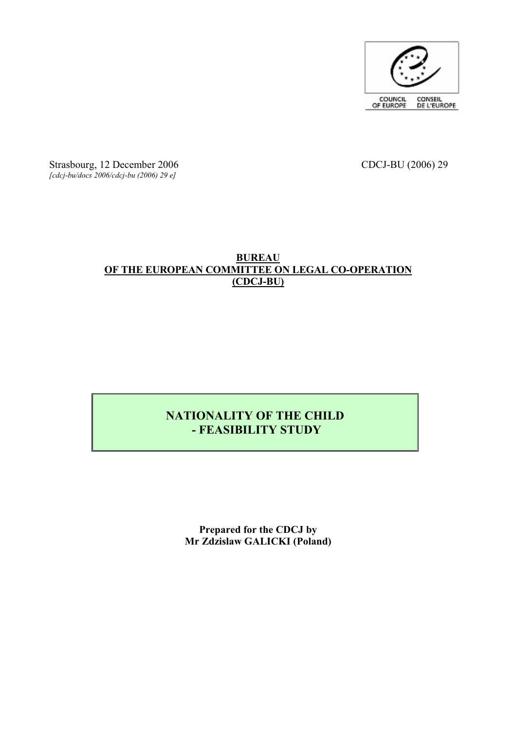

Strasbourg, 12 December 2006 CDCJ-BU (2006) 29 *[cdcj-bu/docs 2006/cdcj-bu (2006) 29 e]*

#### **BUREAU OF THE EUROPEAN COMMITTEE ON LEGAL CO-OPERATION (CDCJ-BU)**

### **NATIONALITY OF THE CHILD - FEASIBILITY STUDY**

**Prepared for the CDCJ by Mr Zdzislaw GALICKI (Poland)**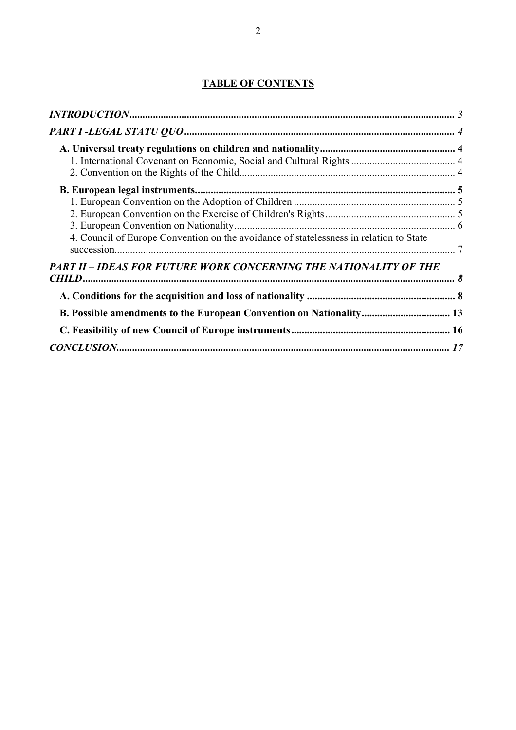#### **TABLE OF CONTENTS**

| 4. Council of Europe Convention on the avoidance of statelessness in relation to State |  |
|----------------------------------------------------------------------------------------|--|
|                                                                                        |  |
| PART II - IDEAS FOR FUTURE WORK CONCERNING THE NATIONALITY OF THE                      |  |
|                                                                                        |  |
|                                                                                        |  |
| <b>B. Possible amendments to the European Convention on Nationality 13</b>             |  |
|                                                                                        |  |
|                                                                                        |  |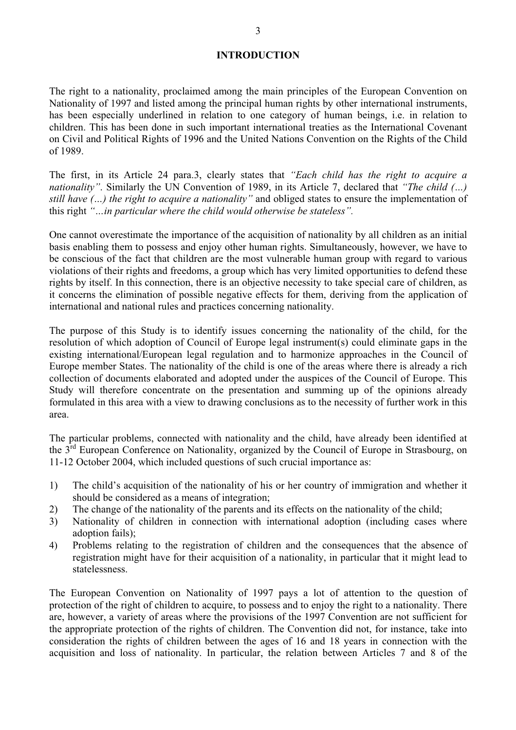#### **INTRODUCTION**

The right to a nationality, proclaimed among the main principles of the European Convention on Nationality of 1997 and listed among the principal human rights by other international instruments, has been especially underlined in relation to one category of human beings, i.e. in relation to children. This has been done in such important international treaties as the International Covenant on Civil and Political Rights of 1996 and the United Nations Convention on the Rights of the Child

of 1989. The first, in its Article 24 para.3, clearly states that *"Each child has the right to acquire a nationality"* . Similarly the UN Convention of 1989, in its Article 7, declared that *"The child (…) still have (…) the right to acquire a nationality"* and obliged states to ensure the implementation of this right *"…in particular where the child would otherwise be stateless".*

One cannot overestimate the importance of the acquisition of nationality by all children as an initial basis enabling them to possess and enjoy other human rights. Simultaneously, however, we have to be conscious of the fact that children are the most vulnerable human group with regard to various violations of their rights and freedoms, a group which has very limited opportunities to defend these rights by itself. In this connection, there is an objective necessity to take special care of children, as it concerns t international and national rules and practices concerning nationality.

The purpose of this Study is to identify issues concerning the nationality of the child, for the resolution of which adoption of Council of Europe legal instrument(s) could eliminate gaps in the existing international/Euro Europe member States. The nationality of the child is one of the areas where there is already a rich collection of documents elaborated and adopted under the auspices of the Council of Europe. This Study will therefore concentrate on the presentation and summing up of the opinions already formulated in this area with a view to drawing conclusions as to the necessity of further work in this area.<br>The particular proble

the 3<sup>rd</sup> European Conference on Nationality, organized by the Council of Europe in Strasbourg, on 11-12 October 2004, which included questions of such crucial importance as:

- 1) The child's acquisition of the nationality of his or her country of immigration and whether it should be considered as a means of integration;
- 2) The change of the nationality of the parents and its effects on the nationality of the child;
- 3) Nationality of children in connection with international adoption (including cases where adoption fails);
- 4) Problems relating to the registration of children and the consequences that the absence of registration might have for their acquisition of a nationality, in particular that it might lead to statelessness.

The European Convention on Nationality of 1997 pays a lot of attention to the question of protection of the right of children to acquire, to possess and to enjoy the right to a nationality. There are, however, a variety of areas where the provisions of the 1997 Convention are not sufficient for the appropriate consideration the rights of children between the ages of 16 and 18 years in connection with the acquisition and loss of nationality. In particular, the relation between Articles 7 and 8 of the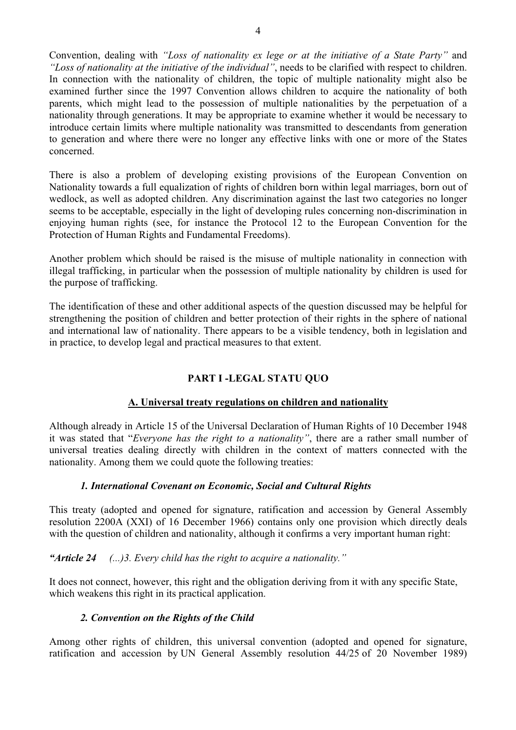Convention, dealing with *"Loss of nationality ex lege or at the initiative of a State Party"* and *"Loss of nationality at the initiative of the individual"*, needs to be clarified with respect to children. In connection with the nationality of children, the topic of multiple nationality might also be examined further since the 1997 Convention allows children to acquire the nationality of both parents, which might lead to the possession of multiple nationalities by the perpetuation of a nationality through generations. It may be appropriate to examine whether it would be necessary to introduce certain limits where multiple nationality was transmitted to descendants from generation to generation and where there were no longer any effective links with one or more of the States concerned.

There is also a problem of developing existing provisions of the European Convention on Nationality towards a full equalization of rights of children born within legal marriages, born out of wedlock, as well as adopted chi seems to be acceptable, especially in the light of developing rules concerning non-discrimination in enjoying human rights (see, for instance the Protocol 12 to the European Convention for the Protection of Human Rights and Fundamental Freedoms).

Another problem which should be raised is the misuse of multiple nationality in connection with illegal trafficking, in particular when the possession of multiple nationality by children is used for the purpose of traffick

The identification of these and other additional aspects of the question discussed may be helpful for strengthening the position of children and better protection of their rights in the sphere of national<br>and international law of nationality. There appears to be a visible tendency, both in legislation and<br>in practice, to d

# **PART I -LEGAL STATU QUO A. Universal treaty regulations on children and nationality**

Although already in Article 15 of the Universal Declaration of Human Rights of 10 December 1948 it was stated that "*Everyone has the right to a nationality*", there are a rather small number of universal treaties dealing nationality. Among them we could quote the following treaties:

#### *1. International Covenant on Economic, Social and Cultural Rights*

This treaty (adopted and opened for signature, ratification and accession by General Assembly resolution 2200A (XXI) of 16 December 1966) contains only one provision which directly deals with the question of children and nationality, although it confirms a very important human right:

*"Article 24 (...)3. Every child has the right to acquire a nationality. "*

It does not connect, however, this right and the obligation deriving from it with any specific State, which weakens this right in its practical application.

#### *2. Convention on the Rights of the Child*

Among other rights of children, this universal convention (adopted and opened for signature, ratification and accession by UN General Assembly resolution 44/25 of 20 November 1989)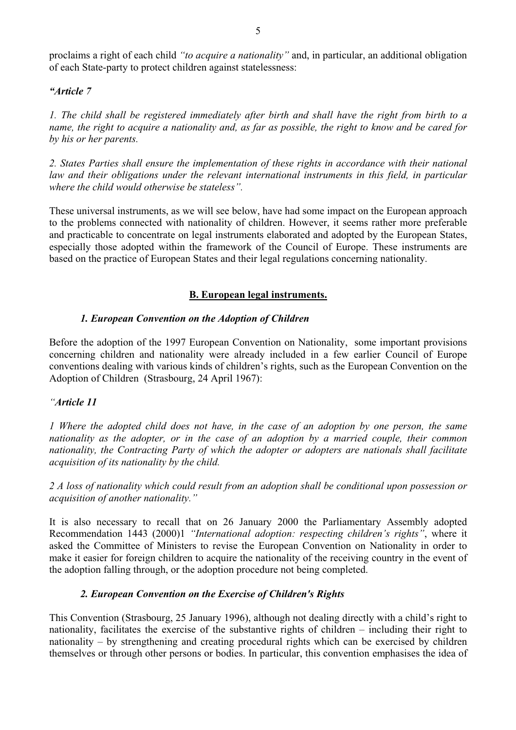proclaims a right of each child *"to acquire a nationality"* and, in particular, an additional obligation of each State-party to protect children against statelessness:

#### *"Article 7*

*1. The child shall be registered immediately after birth and shall have the right from birth to a name, the right to acquire a nationality and, as far as possible, the right to know and be cared for*

by his or her parents.<br>2. States Parties shall ensure the implementation of these rights in accordance with their national<br>law and their obligations under the relevant international instruments in this field, in particular *where the child would otherwise be stateless".*

These universal instruments, as we will see below, have had some impact on the European approach to the problems connected with nationality of children. However, it seems rather more preferable and practicable to concentrate on legal instruments elaborated and adopted by the European States, especially those adopted within the framework of the Council of Europe. These instruments are based on the practice of European States and their legal regulations concerning nationality.

#### **B. European legal instruments.**

#### *1. European Convention on the Adoption of Children*

Before the adoption of the 1997 European Convention on Nationality, some important provisions concerning children and nationality were already included in a few earlier Council of Europe conventions dealing with various kinds of children's rights, such as the European Convention on the Adoption of Children (Strasbourg, 24 April 1967):

#### *"Article 11*

*1 Where the adopted child does not have, in the case of an adoption by one person, the same nationality as the adopter, or in the case of an adoption by a married couple, their common nationality, the Contracting Party of which the adopter or adopters are nationals shall facilitate acquisition of its nationality by the child.*

*2 A loss of nationality which could result from an adoption shall be conditional upon possession or acquisition of another nationality."*

It is also necessary to recall that on 26 January 2000 the Parliamentary Assembly adopted Recommendation 1443 (2000)1 *"International adoption: respecting children's rights"*, where it asked the Committee of Ministers to revise the European Convention on Nationality in order to make it easier for foreign children to acquire the nationality of the receiving country in the event of the adoption falling through, or the adoption procedure not being completed.

#### *2. European Convention on the Exercise of Children's Rights*

This Convention (Strasbourg, 25 January 1996), although not dealing directly with a child's right to nationality, facilitates the exercise of the substantive rights of children – including their right to nationality – by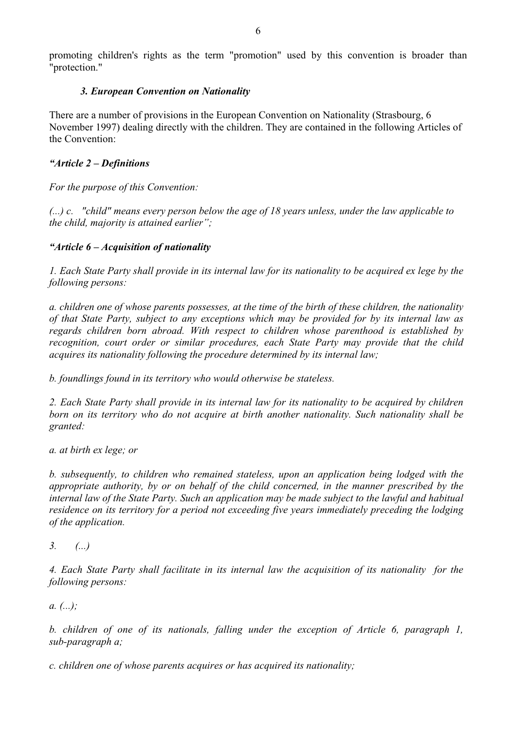promoting children's rights as the term "promotion" used by this convention is broader than "protection."

#### *3. European Convention on Nationality*

There are a number of provisions in the European Convention on Nationality (Strasbourg, 6 November 1997) dealing directly with the children. They are contained in the following Articles of the Convention:

#### *"Article 2 – Definitions*

*For the purpose of this Convention:*

*(...) c. "child" means every person below the age of 18 years unless, under the law applicable to the child, majority is attained earlier";*

#### *"Article 6 – Acquisition of nationality*

*1. Each State Party shall provide in its internal law for its nationality to be acquired ex lege by the following persons:* 

a. children one of whose parents possesses, at the time of the birth of these children, the nationality<br>of that State Party, subject to any exceptions which may be provided for by its internal law as<br>regards children born *recognition, court order or similar procedures, each State Party may provide that the child*

acquires its nationality following the procedure determined by its internal law;<br>b. foundlings found in its territory who would otherwise be stateless.<br>2. Each State Party shall provide in its internal law for its national *born on its territory who do not acquire at birth another nationality. Such nationality shall be granted: a. at birth ex lege; or*

*b. subsequently, to children who remained stateless, upon an application being lodged with the appropriate authority, by or on behalf of the child concerned, in the manner prescribed by the internal law of the State Party. Such an application may be made subject to the lawful and habitual residence on its territory for a period not exceeding five years immediately preceding the lodging of the application. 3. (...)*

*4. Each State Party shall facilitate in its internal law the acquisition of its nationality for the following persons: a. (...);*

*b. children of one of its nationals, falling under the exception of Article 6, paragraph 1, sub-paragraph a;*

*c. children one of whose parents acquires or has acquired its nationality;*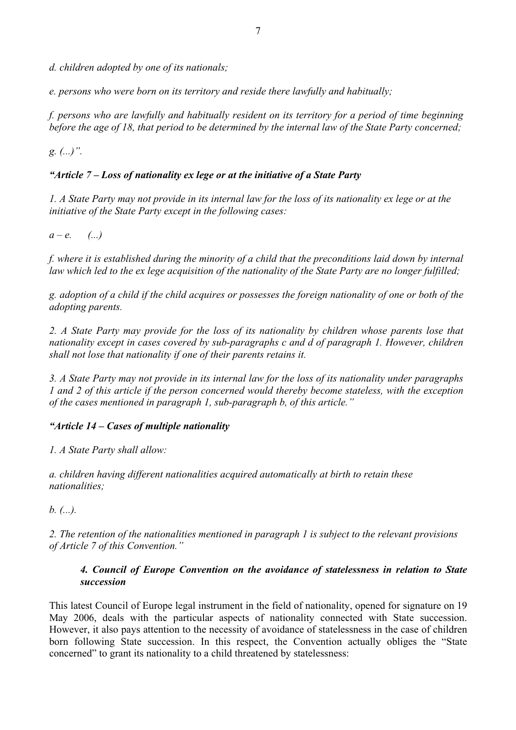*d. children adopted by one of its nationals;*

*e. persons who were born on its territory and reside there lawfully and habitually; f. persons who are lawfully and habitually resident on its territory for a period of time beginning before the age of 18, that period to be determined by the internal law of the State Party concerned;*

*g. (...)".*

#### *"Article 7 – Loss of nationality ex lege or at the initiative of a State Party*

*1. A State Party may not provide in its internal law for the loss of its nationality ex lege or at the initiative of the State Party except in the following cases:*

*a – e. (...)*

*f. where it is established during the minority of a child that the preconditions laid down by internal law which led to the ex lege acquisition of the nationality of the State Party are no longer fulfilled;*

*g. adoption of a child if the child acquires or possesses the foreign nationality of one or both of the adopting parents.*

*2. A State Party may provide for the loss of its nationality by children whose parents lose that nationality except in cases covered by sub-paragraphs c and d of paragraph 1. However, children shall not lose that nationality if one of their parents retains it.*

*3. A State Party may not provide in its internal law for the loss of its nationality under paragraphs 1 and 2 of this article if the person concerned would thereby become stateless, with the exception of the cases mentioned in paragraph 1, sub-paragraph b, of this article. "*

#### *"Article 14 – Cases of multiple nationality*

*1. A State Party shall allow:*

*a. children having different nationalities acquired automatically at birth to retain these nationalities;*

*b. (...).*

*2. The retention of the nationalities mentioned in paragraph 1 is subject to the relevant provisions of Article 7 of this Convention."*

#### *4. Council of Europe Convention on the avoidance of statelessness in relation to State succession*

This latest Council of Europe legal instrument in the field of nationality, opened for signature on 19 May 2006, deals with the particular aspects of nationality connected with State succession. However, it also pays attention to the necessity of avoidance of statelessness in the case of children born following State succession. In this respect, the Convention actually obliges the "State concerned" to grant its nationality to a child threatened by statelessness: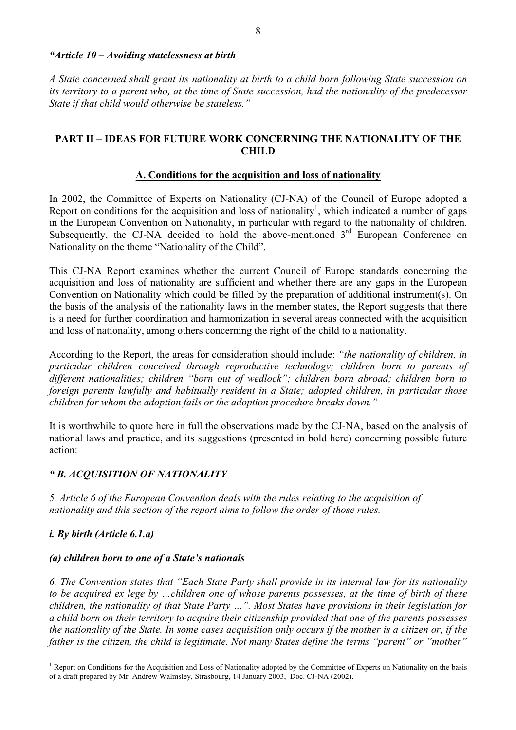#### *"Article 10 – Avoiding statelessness at birth*

A State concerned shall grant its nationality at birth to a child born following State succession on<br>its territory to a parent who, at the time of State succession, had the nationality of the predecessor State if that child would otherwise be stateless."

#### **PART II – IDEAS FOR FUTURE WORK CONCERNING THE NATIONALITY OF THE CHILD**

#### **A. Conditions for the acquisition and loss of nationality**

In 2002, the Committee of Experts on Nationality (CJ-NA) of the Council of Europe adopted a Report on conditions for the acquisition and loss of nationality<sup>1</sup>, which indicated a number of gaps in the European Convention on Nationality, in particular with regard to the nationality of children. Subsequently, the CJ-NA decided to hold the above-mentioned 3<sup>rd</sup> European Conference on Nationality on the theme "Nationality of the Child".

This CJ-NA Report examines whether the current Council of Europe standards concerning the acquisition and loss of nationality are sufficient and whether there are any gaps in the European Convention on Nationality which could be filled by the preparation of additional instrument(s). On the basis of the analysis of the nationality laws in the member states, the Report suggests that there is a need for further coordination and harmonization in several areas connected with the acquisition

and loss of nationality, among others concerning the right of the child to a nationality.<br>According to the Report, the areas for consideration should include: "the nationality of children, in<br>particular children conceived *foreign parents lawfully and habitually resident in a State; adopted children, in particular those children for whom the adoption fails or the adoption procedure breaks down."* 

It is worthwhile to quote here in full the observations made by the CJ-NA, based on the analysis of national laws and practice, and its suggestions (presented in bold here) concerning possible future action:

#### *" B. ACQUISITION OF NATIONALITY*

*5. Article 6 of the European Convention deals with the rules relating to the acquisition of nationality and this section of the report aims to follow the order of those rules.*

#### *i. By birth (Article 6.1.a)*

#### *(a) children born to one of a State's nationals*

6. The Convention states that "Each State Party shall provide in its internal law for its nationality<br>to be acquired ex lege by ...children one of whose parents possesses, at the time of birth of these<br>children, the nation

<sup>&</sup>lt;sup>1</sup> Report on Conditions for the Acquisition and Loss of Nationality adopted by the Committee of Experts on Nationality on the basis of a draft prepared by Mr. Andrew Walmsley, Strasbourg, 14 January 2003, Doc. CJ-NA (200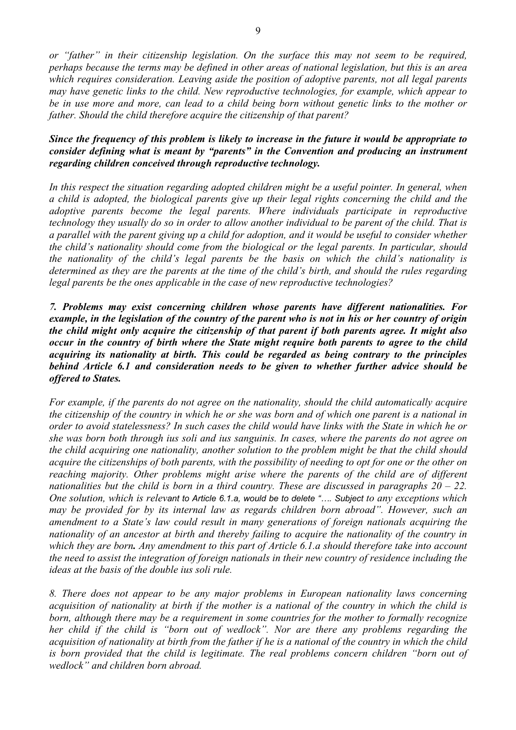*or "father" in their citizenship legislation. On the surface this may not seem to be required, perhaps because the terms may be defined in other areas of national legislation, but this is an area which requires consideration. Leaving aside the position of adoptive parents, not all legal parents may have genetic links to the child. New reproductive technologies, for example, which appear to be in use more and more, can lead to a child being born without genetic links to the mother or father. Should the child therefore acquire the citizenship of that parent?*

## *Since the frequency of this problem is likely to increase in the future it would be appropriate to consider defining what is meant by "parents" in the Convention and producing an instrument regarding children conceived through reproductive technology.*

In this respect the situation regarding adopted children might be a useful pointer. In general, when<br>a child is adopted, the biological parents give up their legal rights concerning the child and the<br>adoptive parents becom the nationality of the child's legal parents be the basis on which the child's nationality is<br>determined as they are the parents at the time of the child's birth, and should the rules regarding<br>legal parents be the ones ap

*7. Problems may exist concerning children whose parents have different nationalities. For* example, in the legislation of the country of the parent who is not in his or her country of origin<br>the child might only acquire the citizenship of that parent if both parents agree. It might also<br>occur in the country of b *acquiring its nationality at birth. This could be regarded as being contrary to the principles behind Article 6.1 and consideration needs to be given to whether further advice should be offered to States.*

For example, if the parents do not agree on the nationality, should the child automatically acquire<br>the citizenship of the country in which he or she was born and of which one parent is a national in<br>order to avoid statele *the child acquiring one nationality, another solution to the problem might be that the child should acquire the citizenships of both parents, with the possibility of needing to opt for one or the other on reaching majority. Other problems might arise where the parents of the child are of different nationalities but the child is born in a third country. These are discussed in paragraphs 20 – 22.* One solution, which is relevant to Article 6.1.a, would be to delete ".... Subject *to any exceptions which* may be provided for by its internal law as regards children born abroad". However, such an<br>amendment to a State's law could result in many generations of foreign nationals acquiring the<br>nationality of an ancestor at birth *the need to assist the integration of foreign nationals in their new country of residence including the ideas at the basis of the double ius soli rule.*

*8. There does not appear to be any major problems in European nationality laws concerning acquisition of nationality at birth if the mother is a national of the country in which the child is born, although there may be a requirement in some countries for the mother to formally recognize her child if the child is "born out of wedlock". Nor are there any problems regarding the acquisition of nationality at birth from the father if he is a national of the country in which the child is born provided that the child is legitimate. The real problems concern children "born out of wedlock" and children born abroad.*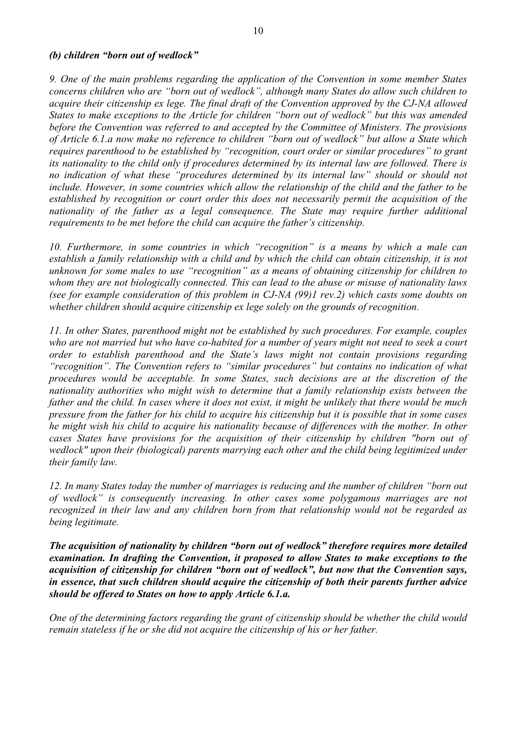#### *(b) children "born out of wedlock"*

*9. One of the main problems regarding the application of the Convention in some member States* concerns children who are "born out of wedlock", although many States do allow such children to<br>acquire their citizenship ex lege. The final draft of the Convention approved by the CJ-NA allowed<br>States to make exceptions t *its nationality to the child only if procedures determined by its internal law are followed. There is no indication of what these "procedures determined by its internal law" should or should not include. However, in some countries which allow the relationship of the child and the father to be established by recognition or court order this does not necessarily permit the acquisition of the nationality of the father as a legal consequence. The State may require further additional requirements to be met before the child can acquire the father's citizenship.*

*10. Furthermore, in some countries in which "recognition" is a means by which a male can establish a family relationship with a child and by which the child can obtain citizenship, it is not unknown for some males to use "recognition" as a means of obtaining citizenship for children to whom they are not biologically connected. This can lead to the abuse or misuse of nationality laws (see for example consideration of this problem in CJ-NA (99)1 rev.2) which casts some doubts on whether children should acquire citizenship ex lege solely on the grounds of recognition.*

*11. In other States, parenthood might not be established by such procedures. For example, couples who are not married but who have co-habited for a number of years might not need to seek a court order to establish parenthood and the State's laws might not contain provisions regarding "recognition". The Convention refers to "similar procedures" but contains no indication of what procedures would be acceptable. In some States, such decisions are at the discretion of the nationality authorities who might wish to determine that a family relationship exists between the* father and the child. In cases where it does not exist, it might be unlikely that there would be much<br>pressure from the father for his child to acquire his citizenship but it is possible that in some cases<br>he might wish hi

*12. In many States today the number of marriages is reducing and the number of children "born out of wedlock" is consequently increasing. In other cases some polygamous marriages are not recognized in their law and any children born from that relationship would not be regarded as being legitimate.*

*The acquisition of nationality by children "born out of wedlock" therefore requires more detailed examination. In drafting the Convention, it proposed to allow States to make exceptions to the acquisition of citizenship for children "born out of wedlock", but now that the Convention says, in essence, that such children should acquire the citizenship of both their parents further advice should be offered to States on how to apply Article 6.1.a.* 

*One of the determining factors regarding the grant of citizenship should be whether the child would remain stateless if he or she did not acquire the citizenship of his or her father.*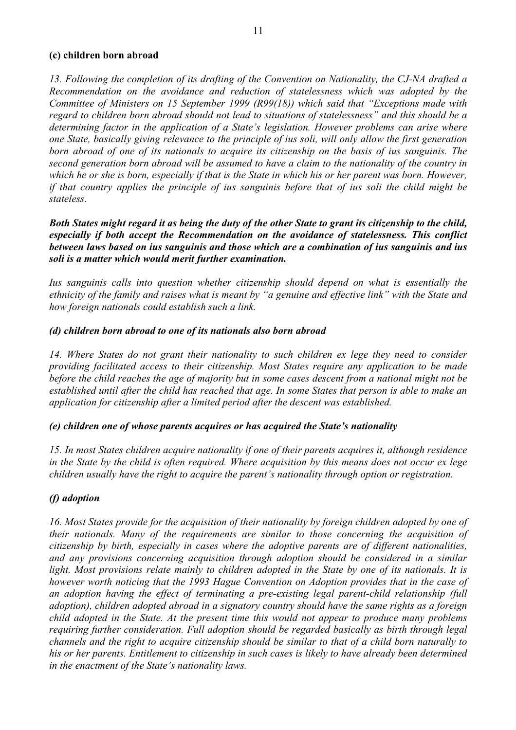#### **(c) children born abroad**

13. Following the completion of its drafting of the Convention on Nationality, the CJ-NA drafted a Recommendation on the avoidance and reduction of statelessness which was adopted by the Committee of Ministers on 15 Septem *regard to children born abroad should not lead to situations of statelessness" and this should be a determining factor in the application of a State's legislation. However problems can arise where one State, basically giving relevance to the principle of ius soli, will only allow the first generation born abroad of one of its nationals to acquire its citizenship on the basis of ius sanguinis. The second generation born abroad will be assumed to have a claim to the nationality of the country in which he or she is born, especially if that is the State in which his or her parent was born. However, if that country applies the principle of ius sanguinis before that of ius soli the child might be stateless.*

*Both States might regard it as being the duty of the other State to grant its citizenship to the child, especially if both accept the Recommendation on the avoidance of statelessness. This conflict between laws based on ius sanguinis and those which are a combination of ius sanguinis and ius soli is a matter which would merit further examination.* 

*Ius sanguinis calls into question whether citizenship should depend on what is essentially the ethnicity of the family and raises what is meant by "a genuine and effective link" with the State and how foreign nationals could establish such a link.*

#### *(d) children born abroad to one of its nationals also born abroad*

*14. Where States do not grant their nationality to such children ex lege they need to consider providing facilitated access to their citizenship. Most States require any application to be made before the child reaches the age of majority but in some cases descent from a national might not be established until after the child has reached that age. In some States that person is able to make an application for citizenship after a limited period after the descent was established.*

#### *(e) children one of whose parents acquires or has acquired the State's nationality*

*15. In most States children acquire nationality if one of their parents acquires it, although residence in the State by the child is often required. Where acquisition by this means does not occur ex lege children usually have the right to acquire the parent's nationality through option or registration.*

#### *(f) adoption*

*16. Most States provide for the acquisition of their nationality by foreign children adopted by one of their nationals. Many of the requirements are similar to those concerning the acquisition of citizenship by birth, especially in cases where the adoptive parents are of different nationalities, and any provisions concerning acquisition through adoption should be considered in a similar light. Most provisions relate mainly to children adopted in the State by one of its nationals. It is however worth noticing that the 1993 Hague Convention on Adoption provides that in the case of an adoption having the effect of terminating a pre-existing legal parent-child relationship (full adoption), children adopted abroad in a signatory country should have the same rights as a foreign* child adopted in the State. At the present time this would not appear to produce many problems<br>requiring further consideration. Full adoption should be regarded basically as birth through legal<br>channels and the right to ac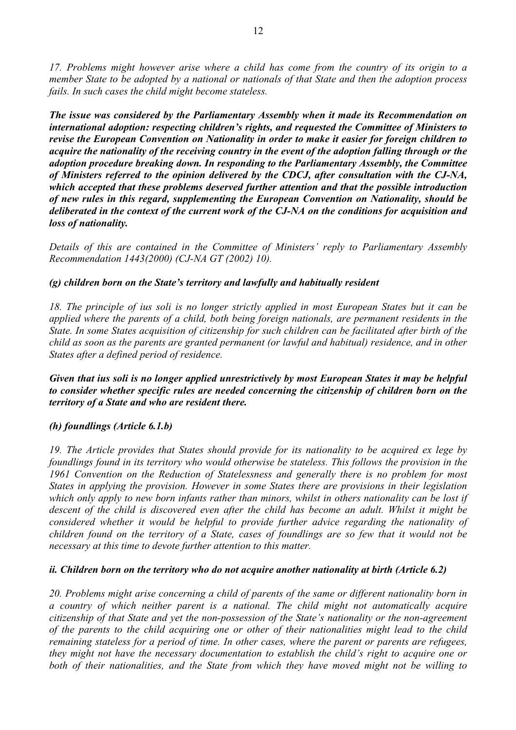17. Problems might however arise where a child has come from the country of its origin to a member State to be adopted by a national or nationals of that State and then the adoption process fails. In such cases the child m

*The issue was considered by the Parliamentary Assembly when it made its Recommendation on* international adoption: respecting children's rights, and requested the Committee of Ministers to<br>revise the European Convention on Nationality in order to make it easier for foreign children to<br>acquire the nationality of *which accepted that these problems deserved further attention and that the possible introduction of new rules in this regard, supplementing the European Convention on Nationality, should be deliberated in the context of the current work of the CJ-NA on the conditions for acquisition and loss of nationality.*

*Details of this are contained in the Committee of Ministers' reply to Parliamentary Assembly Recommendation 1443(2000) (CJ-NA GT (2002) 10).*

#### *(g) children born on the State's territory and lawfully and habitually resident*

*18. The principle of ius soli is no longer strictly applied in most European States but it can be applied where the parents of a child, both being foreign nationals, are permanent residents in the State. In some States acquisition of citizenship for such children can be facilitated after birth of the child as soon as the parents are granted permanent (or lawful and habitual) residence, and in other States after a defined period of residence.*

*Given that ius soli is no longer applied unrestrictively by most European States it may be helpful to consider whether specific rules are needed concerning the citizenship of children born on the territory of a State and who are resident there.*

#### *(h) foundlings (Article 6.1.b)*

*19. The Article provides that States should provide for its nationality to be acquired ex lege by foundlings found in its territory who would otherwise be stateless. This follows the provision in the* 1961 Convention on the Reduction of Statelessness and generally there is no problem for most<br>States in applying the provision. However in some States there are provisions in their legislation<br>which only apply to new born i *descent of the child is discovered even after the child has become an adult. Whilst it might be* considered whether it would be helpful to provide further advice regarding the nationality of children found on the territory of a State, cases of foundlings are so few that it would not be necessary at this time to devote

#### *ii. Children born on the territory who do not acquire another nationality at birth (Article 6.2)*

*20. Problems might arise concerning a child of parents of the same or different nationality born in* a country of which neither parent is a national. The child might not automatically acquire<br>citizenship of that State and yet the non-possession of the State's nationality or the non-agreement<br>of the parents to the child ac *remaining stateless for a period of time. In other cases, where the parent or parents are refugees, they might not have the necessary documentation to establish the child's right to acquire one or both of their nationalities, and the State from which they have moved might not be willing to*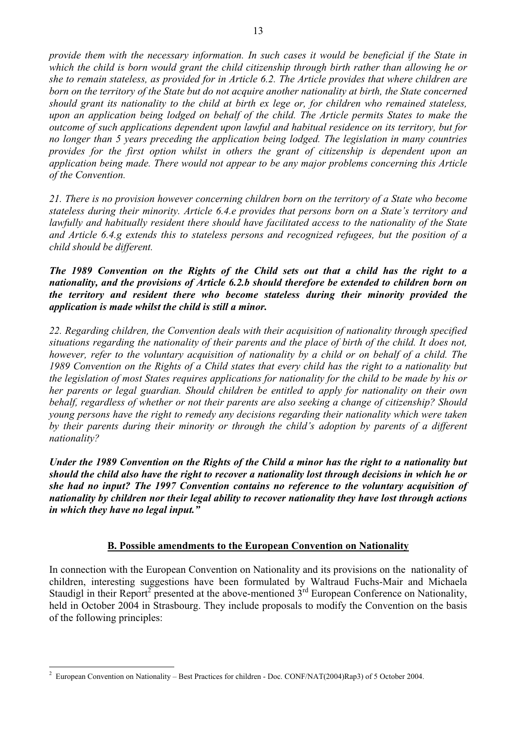*provide them with the necessary information. In such cases it would be beneficial if the State in* which the child is born would grant the child citizenship through birth rather than allowing he or<br>she to remain stateless, as provided for in Article 6.2. The Article provides that where children are<br>born on the territory *upon an application being lodged on behalf of the child. The Article permits States to make the outcome of such applications dependent upon lawful and habitual residence on its territory, but for no longer than 5 years preceding the application being lodged. The legislation in many countries provides for the first option whilst in others the grant of citizenship is dependent upon an application being made. There would not appear to be any major problems concerning this Article of the Convention.*

*21. There is no provision however concerning children born on the territory of a State who become stateless during their minority. Article 6.4.e provides that persons born on a State's territory and lawfully and habitually resident there should have facilitated access to the nationality of the State and Article 6.4.g extends this to stateless persons and recognized refugees, but the position of a child should be different.*

*The 1989 Convention on the Rights of the Child sets out that a child has the right to a nationality, and the provisions of Article 6.2.b should therefore be extended to children born on the territory and resident there who become stateless during their minority provided the application is made whilst the child is still a minor.*

22. Regarding children, the Convention deals with their acquisition of nationality through specified<br>situations regarding the nationality of their parents and the place of birth of the child. It does not,<br>however, refer to *the legislation of most States requires applications for nationality for the child to be made by his or her parents or legal guardian. Should children be entitled to apply for nationality on their own behalf, regardless of whether or not their parents are also seeking a change of citizenship? Should young persons have the right to remedy any decisions regarding their nationality which were taken by their parents during their minority or through the child's adoption by parents of a different nationality?*

*Under the 1989 Convention on the Rights of the Child a minor has the right to a nationality but should the child also have the right to recover a nationality lost through decisions in which he or she had no input? The 1997 Convention contains no reference to the voluntary acquisition of nationality by children nor their legal ability to recover nationality they have lost through actions in which they have no legal input."*

#### **B. Possible amendments to the European Convention on Nationality**

In connection with the European Convention on Nationality and its provisions on the nationality of children, interesting suggestions have been formulated by Waltraud Fuchs-Mair and Michaela Staudigl in their Report<sup>2</sup> pres

<sup>&</sup>lt;sup>2</sup> European Convention on Nationality – Best Practices for children - Doc. CONF/NAT(2004)Rap3) of 5 October 2004.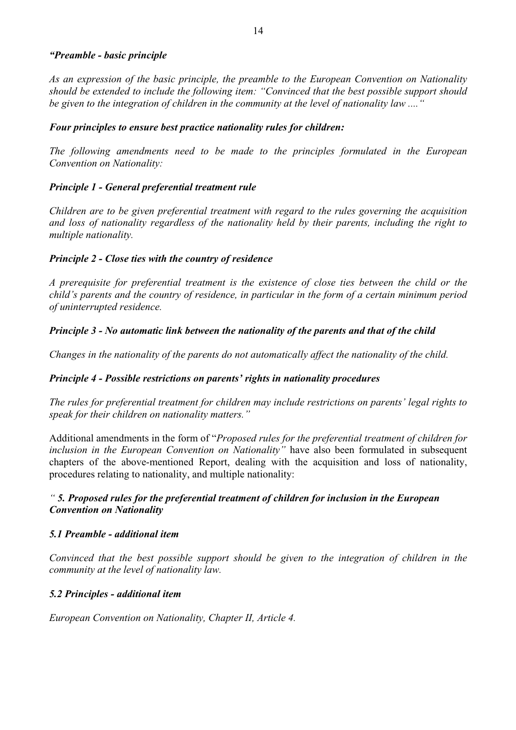#### *"Preamble - basic principle*

*As an expression of the basic principle, the preamble to the European Convention on Nationality should be extended to include the following item: "Convinced that the best possible support should be given to the integration of children in the community at the level of nationality law ...."*

#### *Four principles to ensure best practice nationality rules for children:*

*The following amendments need to be made to the principles formulated in the European Convention on Nationality:*

#### *Principle 1 - General preferential treatment rule*

Children are to be given preferential treatment with regard to the rules governing the acquisition<br>and loss of nationality regardless of the nationality held by their parents, including the right to<br>multiple nationality.

#### *Principle 2 - Close ties with the country of residence*

*A prerequisite for preferential treatment is the existence of close ties between the child or the child's parents and the country of residence, in particular in the form of a certain minimum period of uninterrupted residence.*

#### *Principle 3 - No automatic link between the nationality of the parents and that of the child*

*Changes in the nationality of the parents do not automatically affect the nationality of the child.*

#### *Principle 4 - Possible restrictions on parents' rights in nationality procedures*

*The rules for preferential treatment for children may include restrictions on parents' legal rights to speak for their children on nationality matters. "*

Additional amendments in the form of "*Proposed rules for the preferential treatment of children for inclusion in the European Convention on Nationality"* have also been formulated in subsequent chapters of the above-mentioned Report, dealing with the acquisition and loss of nationality, procedures relating to nationality, and multiple nationality:

#### *" 5. Proposed rules for the preferential treatment of children for inclusion in the European Convention on Nationality*

#### *5.1 Preamble - additional item*

*Convinced that the best possible support should be given to the integration of children in the community at the level of nationality law.*

#### *5.2 Principles - additional item*

*European Convention on Nationality, Chapter II, Article 4.*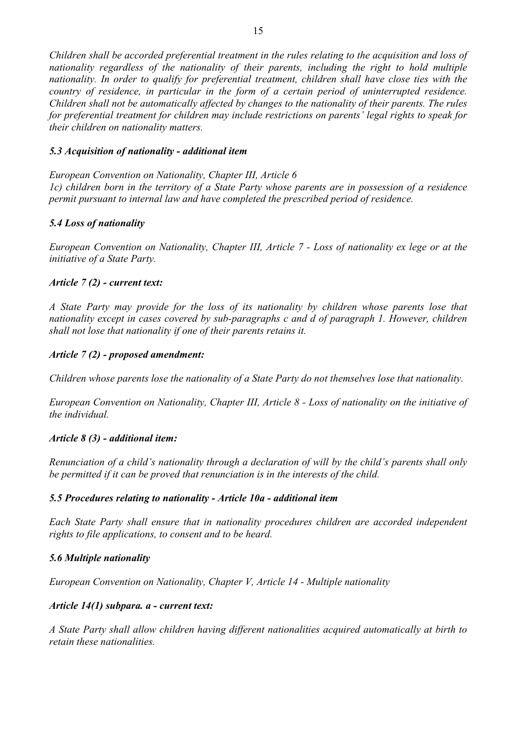Children shall be accorded preferential treatment in the rules relating to the acquisition and loss of<br>nationality regardless of the nationality of their parents, including the right to hold multiple<br>nationality. In order *country of residence, in particular in the form of a certain period of uninterrupted residence. Children shall not be automatically affected by changes to the nationality of their parents. The rules for preferential treatment for children may include restrictions on parents' legal rights to speak for their children on nationality matters.*

#### *5.3 Acquisition of nationality - additional item*

*European Convention on Nationality, Chapter III, Article 6 1c) children born in the territory of a State Party whose parents are in possession of a residence permit pursuant to internal law and have completed the prescribed period of residence.*

#### *5.4 Loss of nationality*

*European Convention on Nationality, Chapter III, Article 7 - Loss of nationality ex lege or at the initiative of a State Party.*

#### *Article 7 (2) - current text:*

*A State Party may provide for the loss of its nationality by children whose parents lose that nationality except in cases covered by sub-paragraphs c and d of paragraph 1. However, children shall not lose that nationality if one of their parents retains it.*

#### *Article 7 (2) - proposed amendment:*

*Children whose parents lose the nationality of a State Party do not themselves lose that nationality.*

*European Convention on Nationality, Chapter III, Article 8 - Loss of nationality on the initiative of the individual.*

#### *Article 8 (3) - additional item:*

*Renunciation of a child's nationality through a declaration of will by the child's parents shall only be permitted if it can be proved that renunciation is in the interests of the child.*

#### *5.5 Procedures relating to nationality - Article 10a - additional item*

*Each State Party shall ensure that in nationality procedures children are accorded independent rights to file applications, to consent and to be heard.*

#### *5.6 Multiple nationality*

*European Convention on Nationality, Chapter V, Article 14 - Multiple nationality*

#### *Article 14(1) subpara. a - current text:*

*A State Party shall allow children having different nationalities acquired automatically at birth to retain these nationalities.*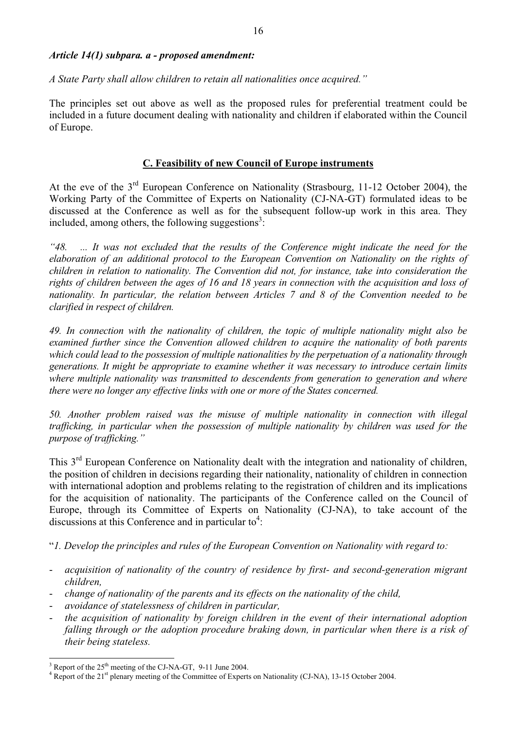#### *Article 14(1) subpara. a - proposed amendment:*

#### *A State Party shall allow children to retain all nationalities once acquired."*

The principles set out above as well as the proposed rules for preferential treatment could be included in a future document dealing with nationality and children if elaborated within the Council of Europe.

#### **C. Feasibility of new Council of Europe instruments**

At the eve of the  $3^{rd}$  European Conference on Nationality (Strasbourg, 11-12 October 2004), the Working Party of the Committee of Experts on Nationality (CJ-NA-GT) formulated ideas to be discussed at the Conference as w included, among others, the following suggestions<sup>3</sup>:

"48. ... It was not excluded that the results of the Conference might indicate the need for the elaboration of an additional protocol to the European Convention on Nationality on the rights of children in relation to natio *clarified in respect of children.*

*49. In connection with the nationality of children, the topic of multiple nationality might also be* examined further since the Convention allowed children to acquire the nationality of both parents<br>which could lead to the possession of multiple nationalities by the perpetuation of a nationality through<br>generations. It mi *where multiple nationality was transmitted to descendents from generation to generation and where there were no longer any effective links with one or more of the States concerned.*

*50. Another problem raised was the misuse of multiple nationality in connection with illegal trafficking, in particular when the possession of multiple nationality by children was used for the purpose of trafficking."*

This 3<sup>rd</sup> European Conference on Nationality dealt with the integration and nationality of children, the position of children in decisions regarding their nationality, nationality of children in connection with internatio for the acquisition of nationality. The participants of the Conference called on the Council of Europe, through its Committee of Experts on Nationality (CJ-NA), to take account of the discussions at this Conference and in particular to<sup>4</sup>:

"*1. Develop the principles and rules of the European Convention on Nationality with regard to:*

- *acquisition of nationality of the country of residence by first- and second-generation migrant children,*
- *change of nationality of the parents and its effects on the nationality of the child,*
- *avoidance of statelessness of children in particular,*
- *the acquisition of nationality by foreign children in the event of their international adoption falling through or the adoption procedure braking down, in particular when there is a risk of their being stateless.*

 $3$  Report of the 25<sup>th</sup> meeting of the CJ-NA-GT, 9-11 June 2004.

<sup>4</sup> Report of the 21<sup>st</sup> plenary meeting of the Committee of Experts on Nationality (CJ-NA), 13-15 October 2004.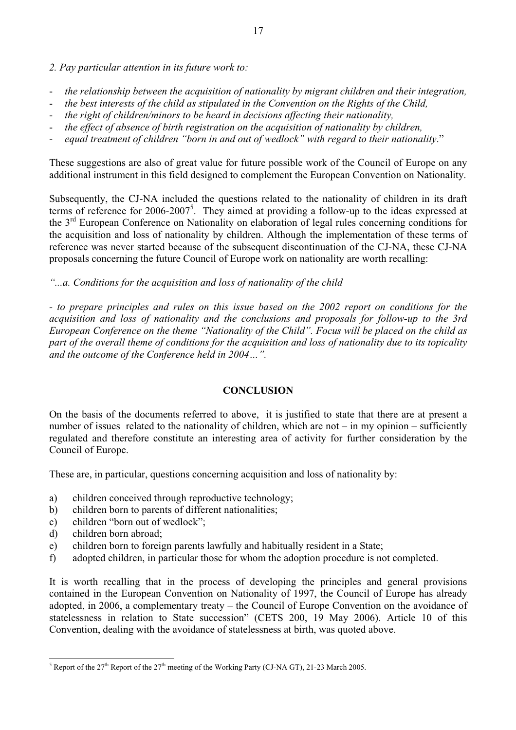*2. Pay particular attention in its future work to:*

- *the relationship between the acquisition of nationality by migrant children and their integration,*
- *the best interests of the child as stipulated in the Convention on the Rights of the Child,*
- *the right of children/minors to be heard in decisions affecting their nationality,*
- *the effect of absence of birth registration on the acquisition of nationality by children,*
- *equal treatment of children "born in and out of wedlock" with regard to their nationality*."

These suggestions are also of great value for future possible work of the Council of Europe on any additional instrument in this field designed to complement the European Convention on Nationality.

Subsequently, the CJ-NA included the questions related to the nationality of children in its draft terms of reference for  $2006-2007^5$ . They aimed at providing a follow-up to the ideas expressed at terms of reference for 2006-2007<sup>5</sup>. They aimed at providing a follow-up to the ideas expressed at the 3<sup>rd</sup> European Conference on Nationality on elaboration of legal rules concerning conditions for the acquisition and loss of nationality by children. Although the implementation of these terms of reference was never started because of the subsequent discontinuation of the CJ-NA, these CJ-NA proposals concerning the future Council of Europe work on nationality are worth recalling:

#### *"...a. Conditions for the acquisition and loss of nationality of the child*

*- to prepare principles and rules on this issue based on the 2002 report on conditions for the acquisition and loss of nationality and the conclusions and proposals for follow-up to the 3rd European Conference on the theme "Nationality of the Child". Focus will be placed on the child as part of the overall theme of conditions for the acquisition and loss of nationality due to its topicality and the outcome of the Conference held in 2004…".*

#### **CONCLUSION**

On the basis of the documents referred to above, it is justified to state that there are at present a number of issues related to the nationality of children, which are not – in my opinion – sufficiently regulated and therefore constitute an interesting area of activity for further consideration by the Council of Europe. These are, in particular, questions concerning acquisition and loss of nationality by:

- a) children conceived through reproductive technology;
- b) children born to parents of different nationalities;
- c) children "born out of wedlock";
- d) children born abroad;
- e) children born to foreign parents lawfully and habitually resident in a State;
- f) adopted children, in particular those for whom the adoption procedure is not completed.

It is worth recalling that in the process of developing the principles and general provisions contained in the European Convention on Nationality of 1997, the Council of Europe has already adopted, in 2006, a complementary treaty – the Council of Europe Convention on the avoidance of statelessness in relation to State succession" (CETS 200, 19 May 2006). Article 10 of this Convention, dealing with the avoidance of statelessness at birth, was quoted above.

<sup>&</sup>lt;sup>5</sup> Report of the 27<sup>th</sup> Report of the 27<sup>th</sup> meeting of the Working Party (CJ-NA GT), 21-23 March 2005.